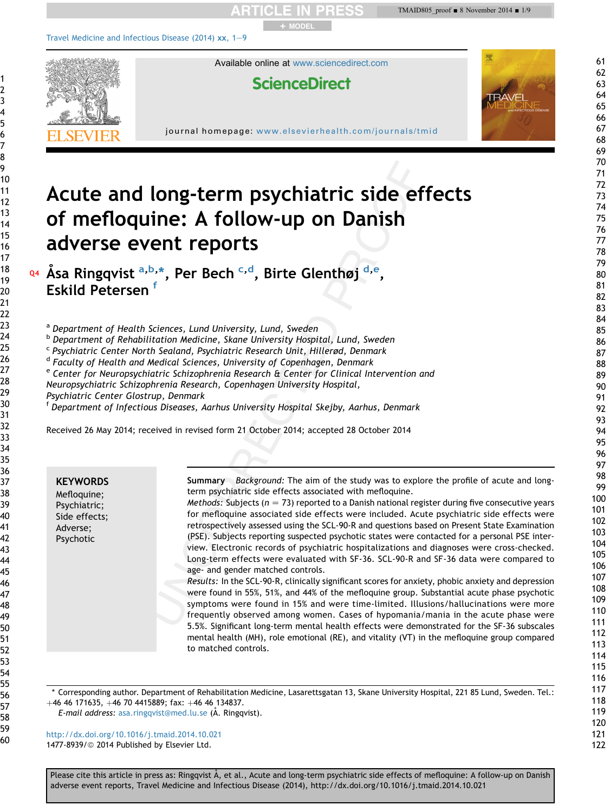

\* Corresponding author. Department of Rehabilitation Medicine, Lasarettsgatan 13, Skane University Hospital, 221 85 Lund, Sweden. Tel.:  $+46$  46 171635,  $+46$  70 4415889; fax:  $+46$  46 134837.

to matched controls.

were found in 55%, 51%, and 44% of the mefloquine group. Substantial acute phase psychotic symptoms were found in 15% and were time-limited. Illusions/hallucinations were more frequently observed among women. Cases of hypomania/mania in the acute phase were 5.5%. Significant long-term mental health effects were demonstrated for the SF-36 subscales mental health (MH), role emotional (RE), and vitality (VT) in the mefloquine group compared

E-mail address: [asa.ringqvist@med.lu.se](mailto:asa.ringqvist@med.lu.se) (A. Ringqvist).

<http://dx.doi.org/10.1016/j.tmaid.2014.10.021> 1477-8939/@ 2014 Published by Elsevier Ltd.

Please cite this article in press as: Ringqvist Å, et al., Acute and long-term psychiatric side effects of mefloquine: A follow-up on Danish adverse event reports, Travel Medicine and Infectious Disease (2014), http://dx.doi.org/10.1016/j.tmaid.2014.10.021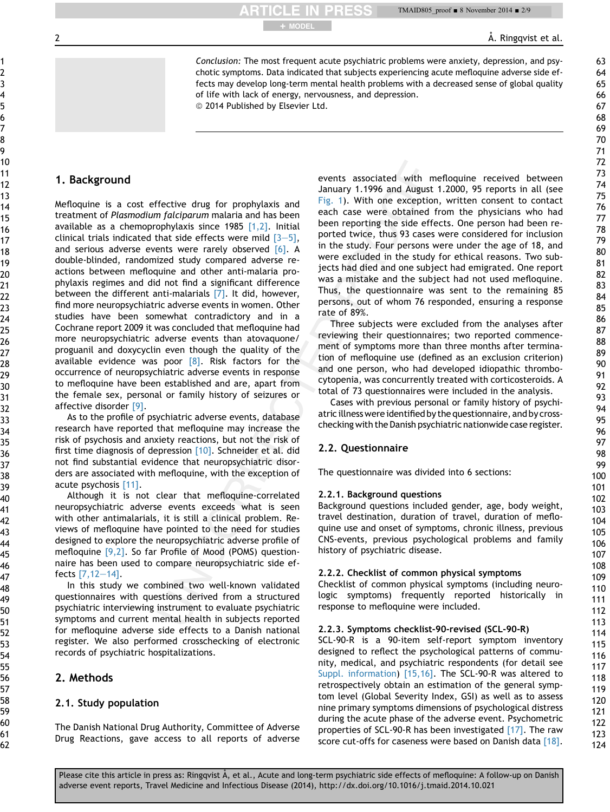**RTICLE IN PRESS** + MODEL

2 **2** A. Ringqvist et al.

Conclusion: The most frequent acute psychiatric problems were anxiety, depression, and psychotic symptoms. Data indicated that subjects experiencing acute mefloquine adverse side effects may develop long-term mental health problems with a decreased sense of global quality of life with lack of energy, nervousness, and depression.

<sup>©</sup> 2014 Published by Elsevier Ltd.

# 1. Background

Mefloquine is a cost effective drug for prophylaxis and treatment of Plasmodium falciparum malaria and has been available as a chemoprophylaxis since 1985 [1,2]. Initial clinical trials indicated that side effects were mild  $[3-5]$ , and serious adverse events were rarely observed  $[6]$ . A double-blinded, randomized study compared adverse reactions between mefloquine and other anti-malaria prophylaxis regimes and did not find a significant difference between the different anti-malarials [7]. It did, however, find more neuropsychiatric adverse events in women. Other studies have been somewhat contradictory and in a Cochrane report 2009 it was concluded that mefloquine had more neuropsychiatric adverse events than atovaquone/ proguanil and doxycyclin even though the quality of the available evidence was poor  $[8]$ . Risk factors for the occurrence of neuropsychiatric adverse events in response to mefloquine have been established and are, apart from the female sex, personal or family history of seizures or affective disorder [9].

As to the profile of psychiatric adverse events, database research have reported that mefloquine may increase the risk of psychosis and anxiety reactions, but not the risk of first time diagnosis of depression [10]. Schneider et al. did not find substantial evidence that neuropsychiatric disorders are associated with mefloquine, with the exception of acute psychosis [11].

Although it is not clear that mefloquine-correlated neuropsychiatric adverse events exceeds what is seen with other antimalarials, it is still a clinical problem. Reviews of mefloquine have pointed to the need for studies designed to explore the neuropsychiatric adverse profile of mefloquine [9,2]. So far Profile of Mood (POMS) questionnaire has been used to compare neuropsychiatric side effects  $[7, 12-14]$ .

In this study we combined two well-known validated questionnaires with questions derived from a structured psychiatric interviewing instrument to evaluate psychiatric symptoms and current mental health in subjects reported for mefloquine adverse side effects to a Danish national register. We also performed crosschecking of electronic records of psychiatric hospitalizations.

# 2. Methods

# 2.1. Study population

The Danish National Drug Authority, Committee of Adverse Drug Reactions, gave access to all reports of adverse events associated with mefloquine received between January 1.1996 and August 1.2000, 95 reports in all (see Fig. 1). With one exception, written consent to contact each case were obtained from the physicians who had been reporting the side effects. One person had been reported twice, thus 93 cases were considered for inclusion in the study. Four persons were under the age of 18, and were excluded in the study for ethical reasons. Two subjects had died and one subject had emigrated. One report was a mistake and the subject had not used mefloquine. Thus, the questionnaire was sent to the remaining 85 persons, out of whom 76 responded, ensuring a response rate of 89%.

Three subjects were excluded from the analyses after reviewing their questionnaires; two reported commencement of symptoms more than three months after termination of mefloquine use (defined as an exclusion criterion) and one person, who had developed idiopathic thrombocytopenia, was concurrently treated with corticosteroids. A total of 73 questionnaires were included in the analysis.

Cases with previous personal or family history of psychiatric illness wereidentified by the questionnaire, and by crosschecking with the Danish psychiatric nationwide case register.

# 2.2. Questionnaire

The questionnaire was divided into 6 sections:

## 2.2.1. Background questions

Background questions included gender, age, body weight, travel destination, duration of travel, duration of mefloquine use and onset of symptoms, chronic illness, previous CNS-events, previous psychological problems and family history of psychiatric disease.

# 2.2.2. Checklist of common physical symptoms

Checklist of common physical symptoms (including neurologic symptoms) frequently reported historically in response to mefloquine were included.

## 2.2.3. Symptoms checklist-90-revised (SCL-90-R)

SCL-90-R is a 90-item self-report symptom inventory designed to reflect the psychological patterns of community, medical, and psychiatric respondents (for detail see Suppl. information) [15,16]. The SCL-90-R was altered to retrospectively obtain an estimation of the general symptom level (Global Severity Index, GSI) as well as to assess nine primary symptoms dimensions of psychological distress during the acute phase of the adverse event. Psychometric properties of SCL-90-R has been investigated [17]. The raw score cut-offs for caseness were based on Danish data [18].

124

Please cite this article in press as: Ringqvist Å, et al., Acute and long-term psychiatric side effects of mefloquine: A follow-up on Danish adverse event reports, Travel Medicine and Infectious Disease (2014), http://dx.doi.org/10.1016/j.tmaid.2014.10.021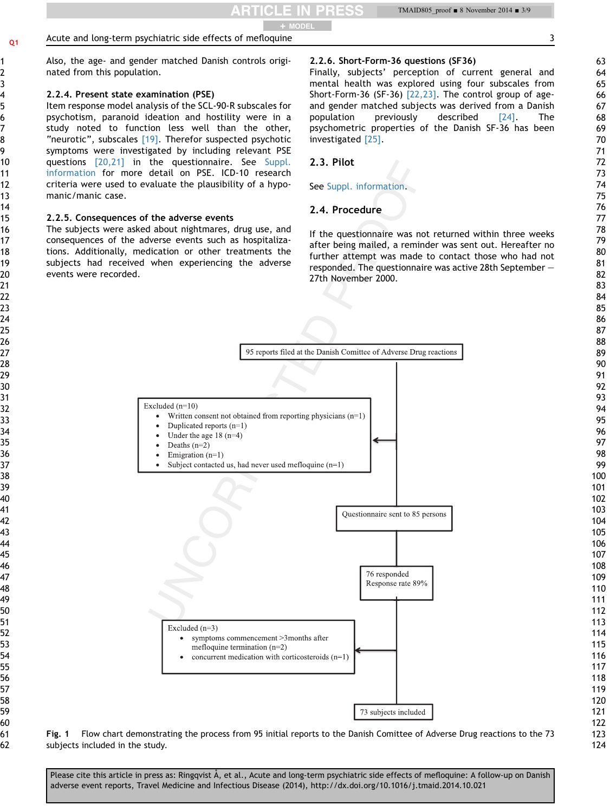Also, the age- and gender matched Danish controls originated from this population. 2.2.4. Present state examination (PSE) Item response model analysis of the SCL-90-R subscales for psychotism, paranoid ideation and hostility were in a study noted to function less well than the other, "neurotic", subscales [19]. Therefor suspected psychotic symptoms were investigated by including relevant PSE questions [20,21] in the questionnaire. See Suppl. information for more detail on PSE. ICD-10 research criteria were used to evaluate the plausibility of a hypomanic/manic case. 2.2.5. Consequences of the adverse events The subjects were asked about nightmares, drug use, and consequences of the adverse events such as hospitalizations. Additionally, medication or other treatments the subjects had received when experiencing the adverse events were recorded. Excluded  $(n=10)$ Deaths  $(n=2)$ Emigration  $(n=1)$ Excluded  $(n=3)$ 

## 2.2.6. Short-Form-36 questions (SF36)

Finally, subjects' perception of current general and mental health was explored using four subscales from Short-Form-36 (SF-36) [22,23]. The control group of ageand gender matched subjects was derived from a Danish population previously described [24]. The psychometric properties of the Danish SF-36 has been investigated [25].

# 2.3. Pilot

See Suppl. information.

# 2.4. Procedure

If the questionnaire was not returned within three weeks after being mailed, a reminder was sent out. Hereafter no further attempt was made to contact those who had not responded. The questionnaire was active 28th September  $-$ 27th November 2000.



Fig. 1 Flow chart demonstrating the process from 95 initial reports to the Danish Comittee of Adverse Drug reactions to the 73 subjects included in the study.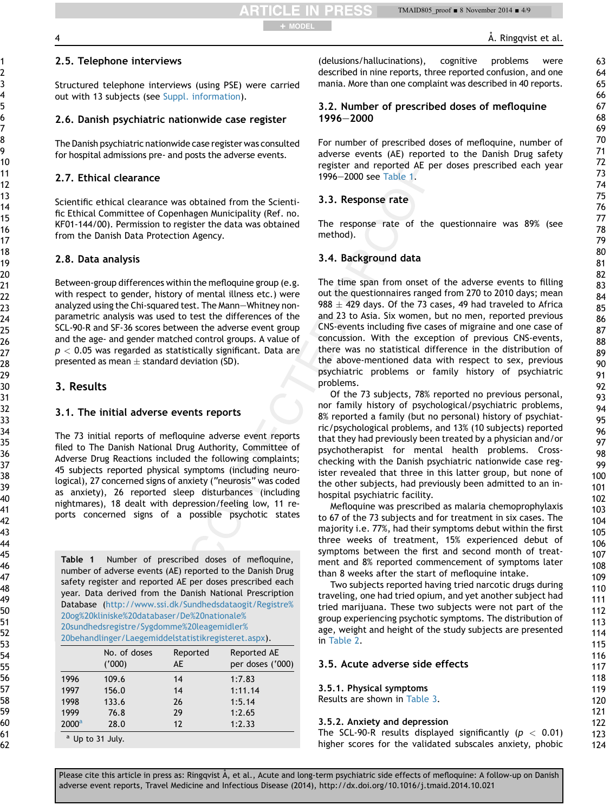Å. Ringqvist et al.

## 2.5. Telephone interviews

Structured telephone interviews (using PSE) were carried out with 13 subjects (see Suppl. information).

## 2.6. Danish psychiatric nationwide case register

The Danish psychiatric nationwide case register was consulted for hospital admissions pre- and posts the adverse events.

## 2.7. Ethical clearance

Scientific ethical clearance was obtained from the Scientific Ethical Committee of Copenhagen Municipality (Ref. no. KF01-144/00). Permission to register the data was obtained from the Danish Data Protection Agency.

## 2.8. Data analysis

Between-group differences within the mefloquine group (e.g. with respect to gender, history of mental illness etc.) were analyzed using the Chi-squared test. The Mann-Whitney nonparametric analysis was used to test the differences of the SCL-90-R and SF-36 scores between the adverse event group and the age- and gender matched control groups. A value of  $p < 0.05$  was regarded as statistically significant. Data are presented as mean  $\pm$  standard deviation (SD).

## 3. Results

#### 3.1. The initial adverse events reports

The 73 initial reports of mefloquine adverse event reports filed to The Danish National Drug Authority, Committee of Adverse Drug Reactions included the following complaints; 45 subjects reported physical symptoms (including neurological), 27 concerned signs of anxiety ("neurosis" was coded as anxiety), 26 reported sleep disturbances (including nightmares), 18 dealt with depression/feeling low, 11 reports concerned signs of a possible psychotic states

Table 1 Number of prescribed doses of mefloquine, number of adverse events (AE) reported to the Danish Drug safety register and reported AE per doses prescribed each year. Data derived from the Danish National Prescription Database [\(http://www.ssi.dk/Sundhedsdataogit/Registre%](http://www.ssi.dk/Sundhedsdataogit/Registre%20og%20kliniske%20databaser/De%20nationale%20sundhedsregistre/Sygdomme%20leagemidler%20behandlinger/Laegemiddelstatistikregisteret.aspx) [20og%20kliniske%20databaser/De%20nationale%](http://www.ssi.dk/Sundhedsdataogit/Registre%20og%20kliniske%20databaser/De%20nationale%20sundhedsregistre/Sygdomme%20leagemidler%20behandlinger/Laegemiddelstatistikregisteret.aspx) [20sundhedsregistre/Sygdomme%20leagemidler%](http://www.ssi.dk/Sundhedsdataogit/Registre%20og%20kliniske%20databaser/De%20nationale%20sundhedsregistre/Sygdomme%20leagemidler%20behandlinger/Laegemiddelstatistikregisteret.aspx) [20behandlinger/Laegemiddelstatistikregisteret.aspx](http://www.ssi.dk/Sundhedsdataogit/Registre%20og%20kliniske%20databaser/De%20nationale%20sundhedsregistre/Sygdomme%20leagemidler%20behandlinger/Laegemiddelstatistikregisteret.aspx)).

|                | No. of doses<br>(000) | Reported<br>AE | Reported AE<br>per doses ('000) |
|----------------|-----------------------|----------------|---------------------------------|
| 1996           | 109.6                 | 14             | 1:7.83                          |
| 1997           | 156.0                 | 14             | 1:11.14                         |
| 1998           | 133.6                 | 26             | 1:5.14                          |
| 1999           | 76.8                  | 29             | 1:2.65                          |
| $2000^{\rm a}$ | 28.0                  | 12             | 1:2.33                          |
|                | $a$ lin to 31 luly    |                |                                 |

<sup>a</sup> Up to 31 July.

(delusions/hallucinations), cognitive problems were described in nine reports, three reported confusion, and one mania. More than one complaint was described in 40 reports.

## 3.2. Number of prescribed doses of mefloquine 1996-2000

For number of prescribed doses of mefloquine, number of adverse events (AE) reported to the Danish Drug safety register and reported AE per doses prescribed each year 1996-2000 see Table 1.

## 3.3. Response rate

+ MODEL

**PRESS** 

The response rate of the questionnaire was 89% (see method).

## 3.4. Background data

The time span from onset of the adverse events to filling out the questionnaires ranged from 270 to 2010 days; mean  $988 \pm 429$  days. Of the 73 cases, 49 had traveled to Africa and 23 to Asia. Six women, but no men, reported previous CNS-events including five cases of migraine and one case of concussion. With the exception of previous CNS-events, there was no statistical difference in the distribution of the above-mentioned data with respect to sex, previous psychiatric problems or family history of psychiatric problems.

Of the 73 subjects, 78% reported no previous personal, nor family history of psychological/psychiatric problems, 8% reported a family (but no personal) history of psychiatric/psychological problems, and 13% (10 subjects) reported that they had previously been treated by a physician and/or psychotherapist for mental health problems. Crosschecking with the Danish psychiatric nationwide case register revealed that three in this latter group, but none of the other subjects, had previously been admitted to an inhospital psychiatric facility.

Mefloquine was prescribed as malaria chemoprophylaxis to 67 of the 73 subjects and for treatment in six cases. The majority i.e. 77%, had their symptoms debut within the first three weeks of treatment, 15% experienced debut of symptoms between the first and second month of treatment and 8% reported commencement of symptoms later than 8 weeks after the start of mefloquine intake.

Two subjects reported having tried narcotic drugs during traveling, one had tried opium, and yet another subject had tried marijuana. These two subjects were not part of the group experiencing psychotic symptoms. The distribution of age, weight and height of the study subjects are presented in Table 2.

#### 3.5. Acute adverse side effects

#### 3.5.1. Physical symptoms

Results are shown in Table 3.

#### 3.5.2. Anxiety and depression

The SCL-90-R results displayed significantly ( $p < 0.01$ ) higher scores for the validated subscales anxiety, phobic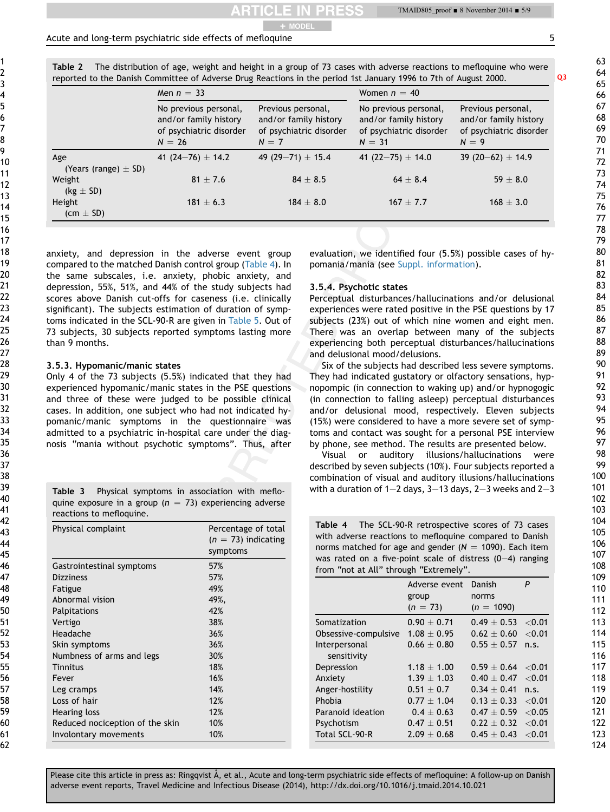TMAID805\_proof ■ 8 November 2014 ■ 5/9

#### Acute and long-term psychiatric side effects of mefloquine 5  $\frac{1}{2}$  5  $\frac{1}{2}$  5  $\frac{1}{2}$  5  $\frac{1}{2}$  5  $\frac{1}{2}$  5  $\frac{1}{2}$  5  $\frac{1}{2}$  5  $\frac{1}{2}$  5  $\frac{1}{2}$  5  $\frac{1}{2}$  5  $\frac{1}{2}$  5  $\frac{1}{2}$  5  $\frac{1}{2}$  5  $\frac{1$

Table 2 The distribution of age, weight and height in a group of 73 cases with adverse reactions to mefloquine who were reported to the Danish Committee of Adverse Drug Reactions in the period 1st January 1996 to 7th of August 2000. Q3

+ MODEL

|                                 | Men $n = 33$                                                                          |                                                                                   | Women $n = 40$                                                                        |                                                                                   |
|---------------------------------|---------------------------------------------------------------------------------------|-----------------------------------------------------------------------------------|---------------------------------------------------------------------------------------|-----------------------------------------------------------------------------------|
|                                 | No previous personal,<br>and/or family history<br>of psychiatric disorder<br>$N = 26$ | Previous personal,<br>and/or family history<br>of psychiatric disorder<br>$N = 7$ | No previous personal,<br>and/or family history<br>of psychiatric disorder<br>$N = 31$ | Previous personal,<br>and/or family history<br>of psychiatric disorder<br>$N = 9$ |
| Age<br>(Years (range) $\pm$ SD) | 41 (24–76) $\pm$ 14.2                                                                 | 49 (29-71) $\pm$ 15.4                                                             | 41 (22-75) $\pm$ 14.0                                                                 | 39 (20-62) $\pm$ 14.9                                                             |
| Weight<br>$(kg \pm SD)$         | $81 + 7.6$                                                                            | $84 + 8.5$                                                                        | $64 + 8.4$                                                                            | $59 + 8.0$                                                                        |
| Height<br>$(cm \pm SD)$         | $181 + 6.3$                                                                           | $184 + 8.0$                                                                       | $167 + 7.7$                                                                           | $168 + 3.0$                                                                       |

anxiety, and depression in the adverse event group compared to the matched Danish control group (Table 4). In the same subscales, i.e. anxiety, phobic anxiety, and depression, 55%, 51%, and 44% of the study subjects had scores above Danish cut-offs for caseness (i.e. clinically significant). The subjects estimation of duration of symptoms indicated in the SCL-90-R are given in Table 5. Out of 73 subjects, 30 subjects reported symptoms lasting more than 9 months.

#### 3.5.3. Hypomanic/manic states

Only 4 of the 73 subjects (5.5%) indicated that they had experienced hypomanic/manic states in the PSE questions and three of these were judged to be possible clinical cases. In addition, one subject who had not indicated hypomanic/manic symptoms in the questionnaire was admitted to a psychiatric in-hospital care under the diagnosis "mania without psychotic symptoms". Thus, after

Table 3 Physical symptoms in association with mefloquine exposure in a group ( $n = 73$ ) experiencing adverse reactions to mefloquine.

| Physical complaint              | Percentage of total<br>$(n = 73)$ indicating<br>symptoms |
|---------------------------------|----------------------------------------------------------|
| Gastrointestinal symptoms       | 57%                                                      |
| <b>Dizziness</b>                | 57%                                                      |
| Fatigue                         | 49%                                                      |
| Abnormal vision                 | 49%,                                                     |
| Palpitations                    | 42%                                                      |
| Vertigo                         | 38%                                                      |
| Headache                        | 36%                                                      |
| Skin symptoms                   | 36%                                                      |
| Numbness of arms and legs       | 30%                                                      |
| Tinnitus                        | 18%                                                      |
| Fever                           | 16%                                                      |
| Leg cramps                      | 14%                                                      |
| Loss of hair                    | 12%                                                      |
| Hearing loss                    | 12%                                                      |
| Reduced nociception of the skin | 10%                                                      |
| Involontary movements           | 10%                                                      |

evaluation, we identified four (5.5%) possible cases of hypomania/mania (see Suppl. information).

#### 3.5.4. Psychotic states

Perceptual disturbances/hallucinations and/or delusional experiences were rated positive in the PSE questions by 17 subjects (23%) out of which nine women and eight men. There was an overlap between many of the subjects experiencing both perceptual disturbances/hallucinations and delusional mood/delusions.

Six of the subjects had described less severe symptoms. They had indicated gustatory or olfactory sensations, hypnopompic (in connection to waking up) and/or hypnogogic (in connection to falling asleep) perceptual disturbances and/or delusional mood, respectively. Eleven subjects (15%) were considered to have a more severe set of symptoms and contact was sought for a personal PSE interview by phone, see method. The results are presented below.

Visual or auditory illusions/hallucinations were described by seven subjects (10%). Four subjects reported a combination of visual and auditory illusions/hallucinations with a duration of  $1-2$  days,  $3-13$  days,  $2-3$  weeks and  $2-3$ 

| Table 4 The SCL-90-R retrospective scores of 73 cases       |
|-------------------------------------------------------------|
| with adverse reactions to mefloquine compared to Danish     |
| norms matched for age and gender ( $N = 1090$ ). Each item  |
| was rated on a five-point scale of distress $(0-4)$ ranging |
| from "not at All" through "Extremely".                      |

|                      | Adverse event   | Danish        | P         |
|----------------------|-----------------|---------------|-----------|
|                      | group           | norms         |           |
|                      | $(n = 73)$      | $(n = 1090)$  |           |
| Somatization         | $0.90 + 0.71$   | $0.49 + 0.53$ | < 0.01    |
| Obsessive-compulsive | $1.08 + 0.95$   | $0.62 + 0.60$ | ${<}0.01$ |
| Interpersonal        | $0.66 + 0.80$   | $0.55 + 0.57$ | n.s.      |
| sensitivity          |                 |               |           |
| Depression           | $1.18 \pm 1.00$ | $0.59 + 0.64$ | ${<}0.01$ |
| Anxiety              | $1.39 + 1.03$   | $0.40 + 0.47$ | ${<}0.01$ |
| Anger-hostility      | $0.51 + 0.7$    | $0.34 + 0.41$ | n.s.      |
| Phobia               | $0.77 + 1.04$   | $0.13 + 0.33$ | < 0.01    |
| Paranoid ideation    | $0.4 + 0.63$    | $0.47 + 0.59$ | < 0.05    |
| Psychotism           | $0.47 \pm 0.51$ | $0.22 + 0.32$ | < 0.01    |
| Total SCL-90-R       | $2.09 \pm 0.68$ | $0.45 + 0.43$ | ${<}0.01$ |
|                      |                 |               |           |

61 62

1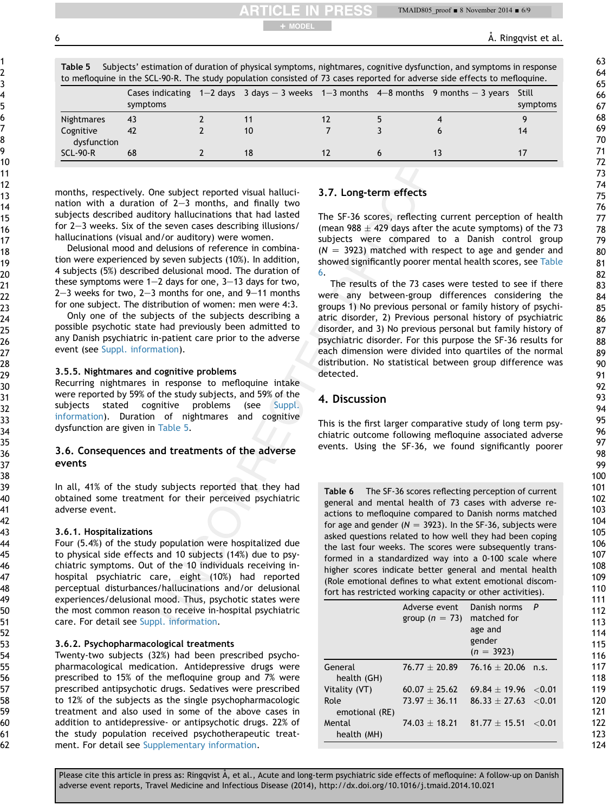TMAID805\_proof ■ 8 November 2014 ■ 6/9

6 **6** A. Ringqvist et al.

|  |  | Table 5 Subjects' estimation of duration of physical symptoms, nightmares, cognitive dysfunction, and symptoms in response |  |  |  |
|--|--|----------------------------------------------------------------------------------------------------------------------------|--|--|--|
|  |  | to mefloquine in the SCL-90-R. The study population consisted of 73 cases reported for adverse side effects to mefloquine. |  |  |  |

**PRESS** 

+ MODEL

|                          | symptoms |    |  | Cases indicating $1-2$ days $3$ days $-3$ weeks $1-3$ months $4-8$ months $9$ months $-3$ years Still | symptoms |
|--------------------------|----------|----|--|-------------------------------------------------------------------------------------------------------|----------|
| Nightmares               | 43       |    |  |                                                                                                       |          |
| Cognitive<br>dysfunction | 42       | 10 |  |                                                                                                       | 14       |
| <b>SCL-90-R</b>          | 68       | 18 |  |                                                                                                       |          |

months, respectively. One subject reported visual hallucination with a duration of  $2-3$  months, and finally two subjects described auditory hallucinations that had lasted for  $2-3$  weeks. Six of the seven cases describing illusions/ hallucinations (visual and/or auditory) were women.

Delusional mood and delusions of reference in combination were experienced by seven subjects (10%). In addition, 4 subjects (5%) described delusional mood. The duration of these symptoms were  $1-2$  days for one,  $3-13$  days for two,  $2-3$  weeks for two,  $2-3$  months for one, and  $9-11$  months for one subject. The distribution of women: men were 4:3.

Only one of the subjects of the subjects describing a possible psychotic state had previously been admitted to any Danish psychiatric in-patient care prior to the adverse event (see Suppl. information).

#### 3.5.5. Nightmares and cognitive problems

Recurring nightmares in response to mefloquine intake were reported by 59% of the study subjects, and 59% of the subjects stated cognitive problems (see Suppl. information). Duration of nightmares and cognitive dysfunction are given in Table 5.

## 3.6. Consequences and treatments of the adverse events

In all, 41% of the study subjects reported that they had obtained some treatment for their perceived psychiatric adverse event.

#### 3.6.1. Hospitalizations

Four (5.4%) of the study population were hospitalized due to physical side effects and 10 subjects (14%) due to psychiatric symptoms. Out of the 10 individuals receiving inhospital psychiatric care, eight (10%) had reported perceptual disturbances/hallucinations and/or delusional experiences/delusional mood. Thus, psychotic states were the most common reason to receive in-hospital psychiatric care. For detail see Suppl. information.

#### 3.6.2. Psychopharmacological treatments

Twenty-two subjects (32%) had been prescribed psychopharmacological medication. Antidepressive drugs were prescribed to 15% of the mefloquine group and 7% were prescribed antipsychotic drugs. Sedatives were prescribed to 12% of the subjects as the single psychopharmacologic treatment and also used in some of the above cases in addition to antidepressive- or antipsychotic drugs. 22% of the study population received psychotherapeutic treatment. For detail see Supplementary information.

## 3.7. Long-term effects

The SF-36 scores, reflecting current perception of health (mean  $988 \pm 429$  days after the acute symptoms) of the 73 subjects were compared to a Danish control group  $(N = 3923)$  matched with respect to age and gender and showed significantly poorer mental health scores, see Table 6.

The results of the 73 cases were tested to see if there were any between-group differences considering the groups 1) No previous personal or family history of psychiatric disorder, 2) Previous personal history of psychiatric disorder, and 3) No previous personal but family history of psychiatric disorder. For this purpose the SF-36 results for each dimension were divided into quartiles of the normal distribution. No statistical between group difference was detected.

## 4. Discussion

This is the first larger comparative study of long term psychiatric outcome following mefloquine associated adverse events. Using the SF-36, we found significantly poorer

Table 6 The SF-36 scores reflecting perception of current general and mental health of 73 cases with adverse reactions to mefloquine compared to Danish norms matched for age and gender ( $N = 3923$ ). In the SF-36, subjects were asked questions related to how well they had been coping the last four weeks. The scores were subsequently transformed in a standardized way into a 0-100 scale where higher scores indicate better general and mental health (Role emotional defines to what extent emotional discomfort has restricted working capacity or other activities).

|                        | Adverse event<br>group ( $n = 73$ ) | Danish norms<br>matched for<br>age and<br>gender<br>$(n = 3923)$ | $\mathsf{P}$ |
|------------------------|-------------------------------------|------------------------------------------------------------------|--------------|
| General<br>health (GH) | $76.77 + 20.89$                     | $76.16 + 20.06$                                                  | n.S.         |
| Vitality (VT)          | $60.07 + 25.62$                     | $69.84 + 19.96$                                                  | < 0.01       |
| Role<br>emotional (RE) | $73.97 + 36.11$                     | $86.33 + 27.63$                                                  | ${<}0.01$    |
| Mental<br>health (MH)  | $74.03 + 18.21$                     | $81.77 + 15.51$                                                  | ${<}0.01$    |

Please cite this article in press as: Ringqvist Å, et al., Acute and long-term psychiatric side effects of mefloquine: A follow-up on Danish adverse event reports, Travel Medicine and Infectious Disease (2014), http://dx.doi.org/10.1016/j.tmaid.2014.10.021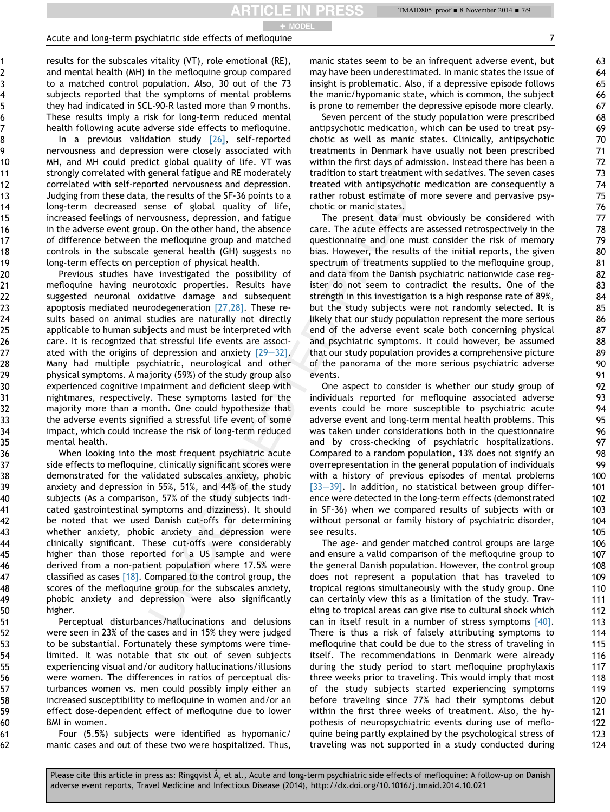**ARTICLE IN PRESS** 

#### Acute and long-term psychiatric side effects of mefloquine 7  $\frac{1}{2}$

results for the subscales vitality (VT), role emotional (RE), and mental health (MH) in the mefloquine group compared to a matched control population. Also, 30 out of the 73 subjects reported that the symptoms of mental problems they had indicated in SCL-90-R lasted more than 9 months. These results imply a risk for long-term reduced mental health following acute adverse side effects to mefloquine.

In a previous validation study  $[26]$ , self-reported nervousness and depression were closely associated with MH, and MH could predict global quality of life. VT was strongly correlated with general fatigue and RE moderately correlated with self-reported nervousness and depression. Judging from these data, the results of the SF-36 points to a long-term decreased sense of global quality of life, increased feelings of nervousness, depression, and fatigue in the adverse event group. On the other hand, the absence of difference between the mefloquine group and matched controls in the subscale general health (GH) suggests no long-term effects on perception of physical health.

Previous studies have investigated the possibility of mefloquine having neurotoxic properties. Results have suggested neuronal oxidative damage and subsequent apoptosis mediated neurodegeneration [27,28]. These results based on animal studies are naturally not directly applicable to human subjects and must be interpreted with care. It is recognized that stressful life events are associated with the origins of depression and anxiety  $[29-32]$ . Many had multiple psychiatric, neurological and other physical symptoms. A majority (59%) of the study group also experienced cognitive impairment and deficient sleep with nightmares, respectively. These symptoms lasted for the majority more than a month. One could hypothesize that the adverse events signified a stressful life event of some impact, which could increase the risk of long-term reduced mental health.

When looking into the most frequent psychiatric acute side effects to mefloquine, clinically significant scores were demonstrated for the validated subscales anxiety, phobic anxiety and depression in 55%, 51%, and 44% of the study subjects (As a comparison, 57% of the study subjects indicated gastrointestinal symptoms and dizziness). It should be noted that we used Danish cut-offs for determining whether anxiety, phobic anxiety and depression were clinically significant. These cut-offs were considerably higher than those reported for a US sample and were derived from a non-patient population where 17.5% were classified as cases  $[18]$ . Compared to the control group, the scores of the mefloquine group for the subscales anxiety, phobic anxiety and depression were also significantly higher.

Perceptual disturbances/hallucinations and delusions were seen in 23% of the cases and in 15% they were judged to be substantial. Fortunately these symptoms were timelimited. It was notable that six out of seven subjects experiencing visual and/or auditory hallucinations/illusions were women. The differences in ratios of perceptual disturbances women vs. men could possibly imply either an increased susceptibility to mefloquine in women and/or an effect dose-dependent effect of mefloquine due to lower BMI in women.

Four (5.5%) subjects were identified as hypomanic/ manic cases and out of these two were hospitalized. Thus,

manic states seem to be an infrequent adverse event, but may have been underestimated. In manic states the issue of insight is problematic. Also, if a depressive episode follows the manic/hypomanic state, which is common, the subject is prone to remember the depressive episode more clearly.

Seven percent of the study population were prescribed antipsychotic medication, which can be used to treat psychotic as well as manic states. Clinically, antipsychotic treatments in Denmark have usually not been prescribed within the first days of admission. Instead there has been a tradition to start treatment with sedatives. The seven cases treated with antipsychotic medication are consequently a rather robust estimate of more severe and pervasive psychotic or manic states.

The present data must obviously be considered with care. The acute effects are assessed retrospectively in the questionnaire and one must consider the risk of memory bias. However, the results of the initial reports, the given spectrum of treatments supplied to the mefloquine group, and data from the Danish psychiatric nationwide case register do not seem to contradict the results. One of the strength in this investigation is a high response rate of 89%, but the study subjects were not randomly selected. It is likely that our study population represent the more serious end of the adverse event scale both concerning physical and psychiatric symptoms. It could however, be assumed that our study population provides a comprehensive picture of the panorama of the more serious psychiatric adverse events.

One aspect to consider is whether our study group of individuals reported for mefloquine associated adverse events could be more susceptible to psychiatric acute adverse event and long-term mental health problems. This was taken under considerations both in the questionnaire and by cross-checking of psychiatric hospitalizations. Compared to a random population, 13% does not signify an overrepresentation in the general population of individuals with a history of previous episodes of mental problems  $[33-39]$ . In addition, no statistical between group difference were detected in the long-term effects (demonstrated in SF-36) when we compared results of subjects with or without personal or family history of psychiatric disorder, see results.

The age- and gender matched control groups are large and ensure a valid comparison of the mefloquine group to the general Danish population. However, the control group does not represent a population that has traveled to tropical regions simultaneously with the study group. One can certainly view this as a limitation of the study. Traveling to tropical areas can give rise to cultural shock which can in itself result in a number of stress symptoms [40]. There is thus a risk of falsely attributing symptoms to mefloquine that could be due to the stress of traveling in itself. The recommendations in Denmark were already during the study period to start mefloquine prophylaxis three weeks prior to traveling. This would imply that most of the study subjects started experiencing symptoms before traveling since 77% had their symptoms debut within the first three weeks of treatment. Also, the hypothesis of neuropsychiatric events during use of mefloquine being partly explained by the psychological stress of traveling was not supported in a study conducted during

Please cite this article in press as: Ringqvist Å, et al., Acute and long-term psychiatric side effects of mefloquine: A follow-up on Danish adverse event reports, Travel Medicine and Infectious Disease (2014), http://dx.doi.org/10.1016/j.tmaid.2014.10.021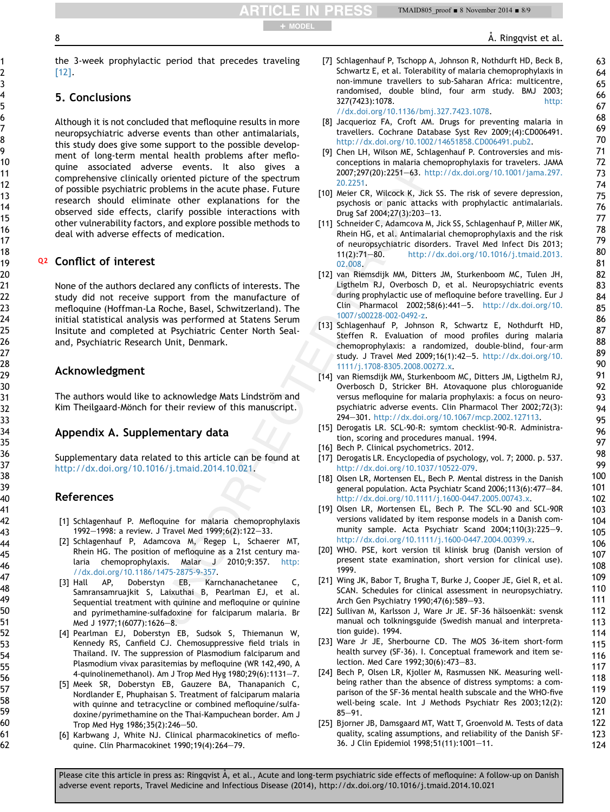the 3-week prophylactic period that precedes traveling [12].

+ MODEL

**RTICLE IN PRESS** 

# 5. Conclusions

Although it is not concluded that mefloquine results in more neuropsychiatric adverse events than other antimalarials, this study does give some support to the possible development of long-term mental health problems after mefloquine associated adverse events. It also gives a comprehensive clinically oriented picture of the spectrum of possible psychiatric problems in the acute phase. Future research should eliminate other explanations for the observed side effects, clarify possible interactions with other vulnerability factors, and explore possible methods to deal with adverse effects of medication.

# Q2 Conflict of interest

None of the authors declared any conflicts of interests. The study did not receive support from the manufacture of mefloquine (Hoffman-La Roche, Basel, Schwitzerland). The initial statistical analysis was performed at Statens Serum Insitute and completed at Psychiatric Center North Sealand, Psychiatric Research Unit, Denmark.

# Acknowledgment

The authors would like to acknowledge Mats Lindström and Kim Theilgaard-Mönch for their review of this manuscript.

# Appendix A. Supplementary data

Supplementary data related to this article can be found at <http://dx.doi.org/10.1016/j.tmaid.2014.10.021>.

# References

- [1] Schlagenhauf P. Mefloquine for malaria chemoprophylaxis 1992-1998: a review. J Travel Med 1999;6(2):122-33.
- [2] Schlagenhauf P, Adamcova M, Regep L, Schaerer MT, Rhein HG. The position of mefloquine as a 21st century malaria chemoprophylaxis. Malar J 2010;9:357. [http:](http://dx.doi.org/10.1186/1475-2875-9-357) [//dx.doi.org/10.1186/1475-2875-9-357.](http://dx.doi.org/10.1186/1475-2875-9-357)
- [3] Hall AP, Doberstyn EB, Karnchanachetanee C, Samransamruajkit S, Laixuthai B, Pearlman EJ, et al. Sequential treatment with quinine and mefloquine or quinine and pyrimethamine-sulfadoxine for falciparum malaria. Br Med J 1977;1(6077):1626-8.
- [4] Pearlman EJ, Doberstyn EB, Sudsok S, Thiemanun W, Kennedy RS, Canfield CJ. Chemosuppressive field trials in Thailand. IV. The suppression of Plasmodium falciparum and Plasmodium vivax parasitemias by mefloquine (WR 142,490, A 4-quinolinemethanol). Am J Trop Med Hyg 1980;29(6):1131-7.
- [5] Meek SR, Doberstyn EB, Gauzere BA, Thanapanich C, Nordlander E, Phuphaisan S. Treatment of falciparum malaria with quinne and tetracycline or combined mefloquine/sulfadoxine/pyrimethamine on the Thai-Kampuchean border. Am J Trop Med Hyg  $1986;35(2):246-50$ .
- [6] Karbwang J, White NJ. Clinical pharmacokinetics of mefloquine. Clin Pharmacokinet 1990;19(4):264-79.
- [7] Schlagenhauf P, Tschopp A, Johnson R, Nothdurft HD, Beck B, Schwartz E, et al. Tolerability of malaria chemoprophylaxis in non-immune travellers to sub-Saharan Africa: multicentre, randomised, double blind, four arm study. BMJ 2003; 327(7423):1078. [http:](http://dx.doi.org/10.1136/bmj.327.7423.1078) [//dx.doi.org/10.1136/bmj.327.7423.1078.](http://dx.doi.org/10.1136/bmj.327.7423.1078)
- [8] Jacquerioz FA, Croft AM. Drugs for preventing malaria in travellers. Cochrane Database Syst Rev 2009;(4):CD006491. [http://dx.doi.org/10.1002/14651858.CD006491.pub2.](http://dx.doi.org/10.1002/14651858.CD006491.pub2)
- [9] Chen LH, Wilson ME, Schlagenhauf P. Controversies and misconceptions in malaria chemoprophylaxis for travelers. JAMA 2007;297(20):2251-63. [http://dx.doi.org/10.1001/jama.297.](http://dx.doi.org/10.1001/jama.297.20.2251) [20.2251](http://dx.doi.org/10.1001/jama.297.20.2251).
- [10] Meier CR, Wilcock K, Jick SS. The risk of severe depression, psychosis or panic attacks with prophylactic antimalarials. Drug Saf 2004;27(3):203-13.
- [11] Schneider C, Adamcova M, Jick SS, Schlagenhauf P, Miller MK, Rhein HG, et al. Antimalarial chemoprophylaxis and the risk of neuropsychiatric disorders. Travel Med Infect Dis 2013; 11(2):71-80. [http://dx.doi.org/10.1016/j.tmaid.2013.](http://dx.doi.org/10.1016/j.tmaid.2013.02.008) [02.008](http://dx.doi.org/10.1016/j.tmaid.2013.02.008).
- [12] van Riemsdijk MM, Ditters JM, Sturkenboom MC, Tulen JH, Ligthelm RJ, Overbosch D, et al. Neuropsychiatric events during prophylactic use of mefloquine before travelling. Eur J Clin Pharmacol 2002;58(6):441-5. [http://dx.doi.org/10.](http://dx.doi.org/10.1007/s00228-002-0492-z) [1007/s00228-002-0492-z.](http://dx.doi.org/10.1007/s00228-002-0492-z)
- [13] Schlagenhauf P, Johnson R, Schwartz E, Nothdurft HD, Steffen R. Evaluation of mood profiles during malaria chemoprophylaxis: a randomized, double-blind, four-arm study. J Travel Med 2009;16(1):42-5. [http://dx.doi.org/10.](http://dx.doi.org/10.1111/j.1708-8305.2008.00272.x) [1111/j.1708-8305.2008.00272.x](http://dx.doi.org/10.1111/j.1708-8305.2008.00272.x).
- [14] van Riemsdijk MM, Sturkenboom MC, Ditters JM, Ligthelm RJ, Overbosch D, Stricker BH. Atovaquone plus chloroguanide versus mefloquine for malaria prophylaxis: a focus on neuropsychiatric adverse events. Clin Pharmacol Ther 2002;72(3): 294e301. <http://dx.doi.org/10.1067/mcp.2002.127113>.
- [15] Derogatis LR. SCL-90-R: symtom checklist-90-R. Administration, scoring and procedures manual. 1994.
- [16] Bech P. Clinical psychometrics. 2012.
- [17] Derogatis LR. Encyclopedia of psychology, vol. 7; 2000. p. 537. [http://dx.doi.org/10.1037/10522-079.](http://dx.doi.org/10.1037/10522-079)
- [18] Olsen LR, Mortensen EL, Bech P. Mental distress in the Danish general population. Acta Psychiatr Scand 2006;113(6):477-84. <http://dx.doi.org/10.1111/j.1600-0447.2005.00743.x>.
- [19] Olsen LR, Mortensen EL, Bech P. The SCL-90 and SCL-90R versions validated by item response models in a Danish community sample. Acta Psychiatr Scand 2004;110(3):225-9. [http://dx.doi.org/10.1111/j.1600-0447.2004.00399.x.](http://dx.doi.org/10.1111/j.1600-0447.2004.00399.x)
- [20] WHO. PSE, kort version til klinisk brug (Danish version of present state examination, short version for clinical use). 1999.
- [21] Wing JK, Babor T, Brugha T, Burke J, Cooper JE, Giel R, et al. SCAN. Schedules for clinical assessment in neuropsychiatry. Arch Gen Psychiatry 1990;47(6):589-93.
- [22] Sullivan M, Karlsson J, Ware Jr JE. SF-36 hälsoenkät: svensk manual och tolkningsguide (Swedish manual and interpretation guide). 1994.
- [23] Ware Jr JE, Sherbourne CD. The MOS 36-item short-form health survey (SF-36). I. Conceptual framework and item selection. Med Care 1992;30(6):473-83.
- [24] Bech P, Olsen LR, Kjoller M, Rasmussen NK. Measuring wellbeing rather than the absence of distress symptoms: a comparison of the SF-36 mental health subscale and the WHO-five well-being scale. Int J Methods Psychiatr Res 2003;12(2):  $85 - 91.$
- [25] Bjorner JB, Damsgaard MT, Watt T, Groenvold M. Tests of data quality, scaling assumptions, and reliability of the Danish SF-36. J Clin Epidemiol 1998;51(11):1001-11.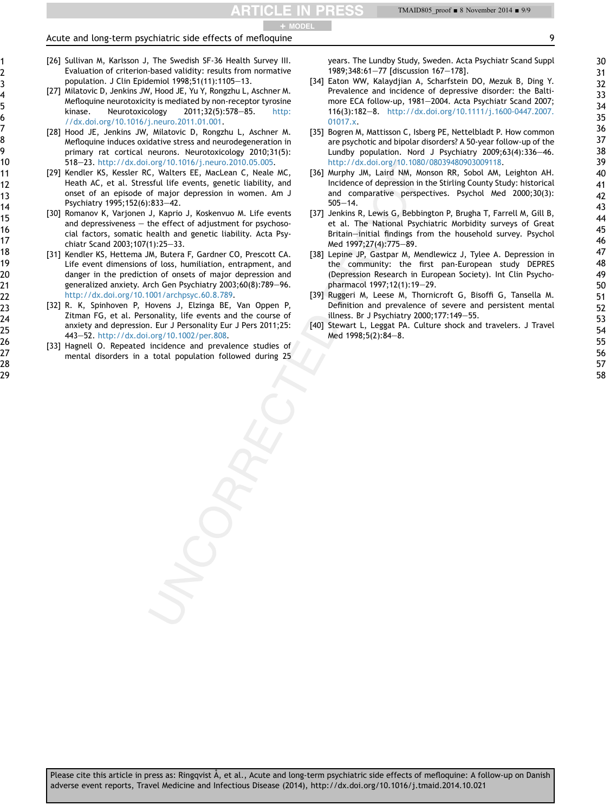#### Acute and long-term psychiatric side effects of mefloquine 9 + MODEL

- [26] Sullivan M, Karlsson J, The Swedish SF-36 Health Survey III. Evaluation of criterion-based validity: results from normative population. J Clin Epidemiol  $1998;51(11):1105-13$ .
- [27] Milatovic D, Jenkins JW, Hood JE, Yu Y, Rongzhu L, Aschner M. Mefloquine neurotoxicity is mediated by non-receptor tyrosine kinase. Neurotoxicology  $2011;32(5):578-85$ . [http:](http://dx.doi.org/10.1016/j.neuro.2011.01.001) [//dx.doi.org/10.1016/j.neuro.2011.01.001.](http://dx.doi.org/10.1016/j.neuro.2011.01.001)
- [28] Hood JE, Jenkins JW, Milatovic D, Rongzhu L, Aschner M. Mefloquine induces oxidative stress and neurodegeneration in primary rat cortical neurons. Neurotoxicology 2010;31(5): 518-23. [http://dx.doi.org/10.1016/j.neuro.2010.05.005.](http://dx.doi.org/10.1016/j.neuro.2010.05.005)
- [29] Kendler KS, Kessler RC, Walters EE, MacLean C, Neale MC, Heath AC, et al. Stressful life events, genetic liability, and onset of an episode of major depression in women. Am J Psychiatry 1995;152(6):833-42.
- [30] Romanov K, Varjonen J, Kaprio J, Koskenvuo M. Life events and depressiveness  $-$  the effect of adjustment for psychosocial factors, somatic health and genetic liability. Acta Psychiatr Scand 2003;107(1):25-33.
- [31] Kendler KS, Hettema JM, Butera F, Gardner CO, Prescott CA. Life event dimensions of loss, humiliation, entrapment, and danger in the prediction of onsets of major depression and generalized anxiety. Arch Gen Psychiatry 2003;60(8):789-96. <http://dx.doi.org/10.1001/archpsyc.60.8.789>.
- [32] R. K, Spinhoven P, Hovens J, Elzinga BE, Van Oppen P, Zitman FG, et al. Personality, life events and the course of anxiety and depression. Eur J Personality Eur J Pers 2011;25: 443-52. <http://dx.doi.org/10.1002/per.808>.
- [33] Hagnell O. Repeated incidence and prevalence studies of mental disorders in a total population followed during 25

years. The Lundby Study, Sweden. Acta Psychiatr Scand Suppl 1989;348:61-77 [discussion 167-178].

- [34] Eaton WW, Kalaydjian A, Scharfstein DO, Mezuk B, Ding Y. Prevalence and incidence of depressive disorder: the Baltimore ECA follow-up, 1981-2004. Acta Psychiatr Scand 2007; 116(3):182-8. [http://dx.doi.org/10.1111/j.1600-0447.2007.](http://dx.doi.org/10.1111/j.1600-0447.2007.01017.x) [01017.x](http://dx.doi.org/10.1111/j.1600-0447.2007.01017.x).
- [35] Bogren M, Mattisson C, Isberg PE, Nettelbladt P. How common are psychotic and bipolar disorders? A 50-year follow-up of the Lundby population. Nord J Psychiatry  $2009;63(4):336-46$ . [http://dx.doi.org/10.1080/08039480903009118.](http://dx.doi.org/10.1080/08039480903009118)
- [36] Murphy JM, Laird NM, Monson RR, Sobol AM, Leighton AH. Incidence of depression in the Stirling County Study: historical and comparative perspectives. Psychol Med 2000;30(3):  $505 - 14.$
- [37] Jenkins R, Lewis G, Bebbington P, Brugha T, Farrell M, Gill B, et al. The National Psychiatric Morbidity surveys of Great Britain-initial findings from the household survey. Psychol Med 1997;27(4):775-89.
- [38] Lepine JP, Gastpar M, Mendlewicz J, Tylee A. Depression in the community: the first pan-European study DEPRES (Depression Research in European Society). Int Clin Psychopharmacol 1997;12(1):19-29.
- [39] Ruggeri M, Leese M, Thornicroft G, Bisoffi G, Tansella M. Definition and prevalence of severe and persistent mental illness. Br J Psychiatry 2000;177:149-55.
- [40] Stewart L, Leggat PA. Culture shock and travelers. J Travel Med  $1998;5(2):84-8$ .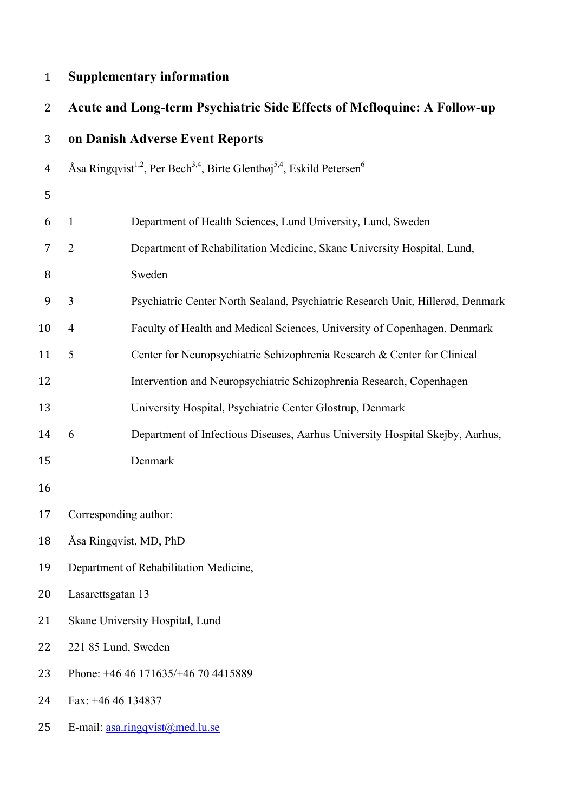# **Supplementary information**

| 2  |                                     | Acute and Long-term Psychiatric Side Effects of Mefloquine: A Follow-up                                               |  |  |
|----|-------------------------------------|-----------------------------------------------------------------------------------------------------------------------|--|--|
| 3  |                                     | on Danish Adverse Event Reports                                                                                       |  |  |
| 4  |                                     | Åsa Ringqvist <sup>1,2</sup> , Per Bech <sup>3,4</sup> , Birte Glenthøj <sup>5,4</sup> , Eskild Petersen <sup>6</sup> |  |  |
| 5  |                                     |                                                                                                                       |  |  |
| 6  | $\mathbf{1}$                        | Department of Health Sciences, Lund University, Lund, Sweden                                                          |  |  |
| 7  | $\overline{2}$                      | Department of Rehabilitation Medicine, Skane University Hospital, Lund,                                               |  |  |
| 8  |                                     | Sweden                                                                                                                |  |  |
| 9  | $\overline{3}$                      | Psychiatric Center North Sealand, Psychiatric Research Unit, Hillerød, Denmark                                        |  |  |
| 10 | $\overline{4}$                      | Faculty of Health and Medical Sciences, University of Copenhagen, Denmark                                             |  |  |
| 11 | 5                                   | Center for Neuropsychiatric Schizophrenia Research & Center for Clinical                                              |  |  |
| 12 |                                     | Intervention and Neuropsychiatric Schizophrenia Research, Copenhagen                                                  |  |  |
| 13 |                                     | University Hospital, Psychiatric Center Glostrup, Denmark                                                             |  |  |
| 14 | 6                                   | Department of Infectious Diseases, Aarhus University Hospital Skejby, Aarhus,                                         |  |  |
| 15 |                                     | Denmark                                                                                                               |  |  |
| 16 |                                     |                                                                                                                       |  |  |
| 17 |                                     | Corresponding author:                                                                                                 |  |  |
| 18 |                                     | Åsa Ringqvist, MD, PhD                                                                                                |  |  |
| 19 |                                     | Department of Rehabilitation Medicine,                                                                                |  |  |
| 20 | Lasarettsgatan 13                   |                                                                                                                       |  |  |
| 21 | Skane University Hospital, Lund     |                                                                                                                       |  |  |
| 22 | 221 85 Lund, Sweden                 |                                                                                                                       |  |  |
| 23 | Phone: +46 46 171635/+46 70 4415889 |                                                                                                                       |  |  |
| 24 | Fax: +46 46 134837                  |                                                                                                                       |  |  |
| 25 |                                     | E-mail: asa.ringqvist@med.lu.se                                                                                       |  |  |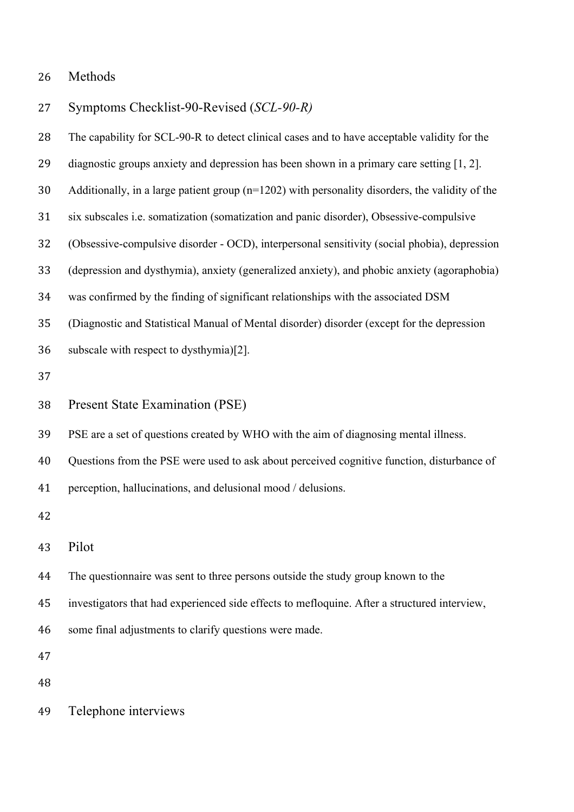Symptoms Checklist-90-Revised (*SCL-90-R)*

| 28 | The capability for SCL-90-R to detect clinical cases and to have acceptable validity for the      |
|----|---------------------------------------------------------------------------------------------------|
| 29 | diagnostic groups anxiety and depression has been shown in a primary care setting [1, 2].         |
| 30 | Additionally, in a large patient group $(n=1202)$ with personality disorders, the validity of the |
| 31 | six subscales i.e. somatization (somatization and panic disorder), Obsessive-compulsive           |
| 32 | (Obsessive-compulsive disorder - OCD), interpersonal sensitivity (social phobia), depression      |
| 33 | (depression and dysthymia), anxiety (generalized anxiety), and phobic anxiety (agoraphobia)       |
| 34 | was confirmed by the finding of significant relationships with the associated DSM                 |
| 35 | (Diagnostic and Statistical Manual of Mental disorder) disorder (except for the depression        |
| 36 | subscale with respect to dysthymia)[2].                                                           |
| 37 |                                                                                                   |
| 38 | <b>Present State Examination (PSE)</b>                                                            |
| 39 | PSE are a set of questions created by WHO with the aim of diagnosing mental illness.              |
| 40 | Questions from the PSE were used to ask about perceived cognitive function, disturbance of        |
| 41 | perception, hallucinations, and delusional mood / delusions.                                      |
| 42 |                                                                                                   |
| 43 | Pilot                                                                                             |
| 44 | The questionnaire was sent to three persons outside the study group known to the                  |
| 45 | investigators that had experienced side effects to mefloquine. After a structured interview,      |
| 46 | some final adjustments to clarify questions were made.                                            |
| 47 |                                                                                                   |
| 48 |                                                                                                   |
| 49 | Telephone interviews                                                                              |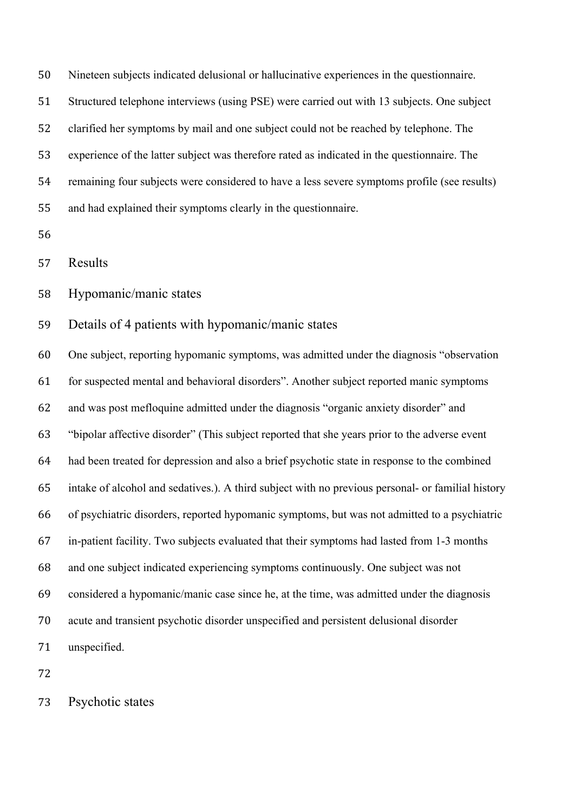Nineteen subjects indicated delusional or hallucinative experiences in the questionnaire.

Structured telephone interviews (using PSE) were carried out with 13 subjects. One subject

clarified her symptoms by mail and one subject could not be reached by telephone. The

experience of the latter subject was therefore rated as indicated in the questionnaire. The

remaining four subjects were considered to have a less severe symptoms profile (see results)

and had explained their symptoms clearly in the questionnaire.

Results

Hypomanic/manic states

Details of 4 patients with hypomanic/manic states

 One subject, reporting hypomanic symptoms, was admitted under the diagnosis "observation for suspected mental and behavioral disorders". Another subject reported manic symptoms and was post mefloquine admitted under the diagnosis "organic anxiety disorder" and "bipolar affective disorder" (This subject reported that she years prior to the adverse event had been treated for depression and also a brief psychotic state in response to the combined intake of alcohol and sedatives.). A third subject with no previous personal- or familial history of psychiatric disorders, reported hypomanic symptoms, but was not admitted to a psychiatric in-patient facility. Two subjects evaluated that their symptoms had lasted from 1-3 months and one subject indicated experiencing symptoms continuously. One subject was not considered a hypomanic/manic case since he, at the time, was admitted under the diagnosis acute and transient psychotic disorder unspecified and persistent delusional disorder unspecified.

Psychotic states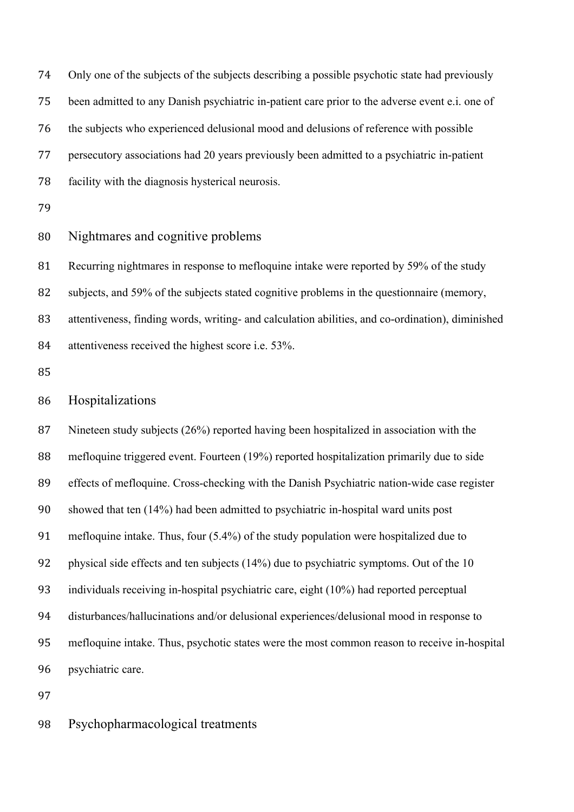Only one of the subjects of the subjects describing a possible psychotic state had previously been admitted to any Danish psychiatric in-patient care prior to the adverse event e.i. one of the subjects who experienced delusional mood and delusions of reference with possible persecutory associations had 20 years previously been admitted to a psychiatric in-patient facility with the diagnosis hysterical neurosis.

# Nightmares and cognitive problems

 Recurring nightmares in response to mefloquine intake were reported by 59% of the study subjects, and 59% of the subjects stated cognitive problems in the questionnaire (memory, attentiveness, finding words, writing- and calculation abilities, and co-ordination), diminished attentiveness received the highest score i.e. 53%.

# Hospitalizations

 Nineteen study subjects (26%) reported having been hospitalized in association with the mefloquine triggered event. Fourteen (19%) reported hospitalization primarily due to side effects of mefloquine. Cross-checking with the Danish Psychiatric nation-wide case register showed that ten (14%) had been admitted to psychiatric in-hospital ward units post mefloquine intake. Thus, four (5.4%) of the study population were hospitalized due to physical side effects and ten subjects (14%) due to psychiatric symptoms. Out of the 10 individuals receiving in-hospital psychiatric care, eight (10%) had reported perceptual disturbances/hallucinations and/or delusional experiences/delusional mood in response to mefloquine intake. Thus, psychotic states were the most common reason to receive in-hospital psychiatric care.

Psychopharmacological treatments